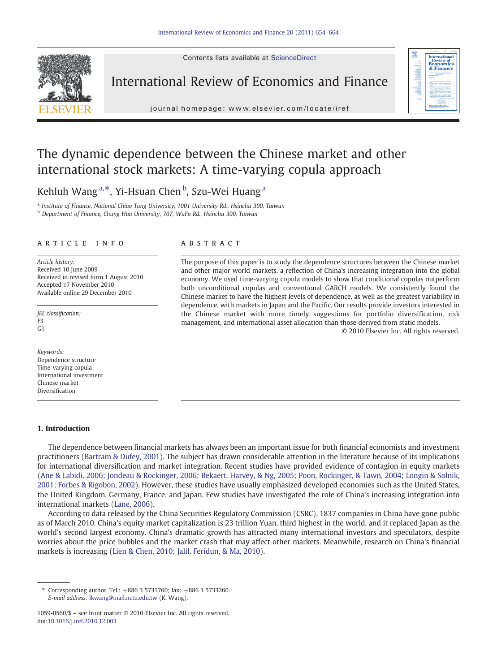Contents lists available at ScienceDirect



International Review of Economics and Finance



# The dynamic dependence between the Chinese market and other

international stock markets: A time-varying copula approach

Kehluh Wang<sup>a,\*</sup>, Yi-Hsuan Chen <sup>b</sup>, Szu-Wei Huang <sup>a</sup>

<sup>a</sup> Institute of Finance, National Chiao Tung University, 1001 University Rd., Hsinchu 300, Taiwan <sup>b</sup> Department of Finance, Chung Hua University, 707, WuFu Rd., Hsinchu 300, Taiwan

#### article info abstract

Article history: Received 10 June 2009 Received in revised form 1 August 2010 Accepted 17 November 2010 Available online 29 December 2010

JEL classification: F3 G1

Keywords: Dependence structure Time-varying copula International investment Chinese market Diversification

#### 1. Introduction

The purpose of this paper is to study the dependence structures between the Chinese market and other major world markets, a reflection of China's increasing integration into the global economy. We used time-varying copula models to show that conditional copulas outperform both unconditional copulas and conventional GARCH models. We consistently found the Chinese market to have the highest levels of dependence, as well as the greatest variability in dependence, with markets in Japan and the Pacific. Our results provide investors interested in the Chinese market with more timely suggestions for portfolio diversification, risk management, and international asset allocation than those derived from static models.

© 2010 Elsevier Inc. All rights reserved.

 $\frac{1}{2}$ & Finance

The dependence between financial markets has always been an important issue for both financial economists and investment practitioners [\(Bartram & Dufey, 2001](#page--1-0)). The subject has drawn considerable attention in the literature because of its implications for international diversification and market integration. Recent studies have provided evidence of contagion in equity markets ([Ane & Labidi, 2006; Jondeau & Rockinger, 2006; Bekaert, Harvey, & Ng, 2005; Poon, Rockinger, & Tawn, 2004; Longin & Solnik,](#page--1-0) [2001; Forbes & Rigobon, 2002](#page--1-0)). However, these studies have usually emphasized developed economies such as the United States, the United Kingdom, Germany, France, and Japan. Few studies have investigated the role of China's increasing integration into international markets [\(Lane, 2006](#page--1-0)).

According to data released by the China Securities Regulatory Commission (CSRC), 1837 companies in China have gone public as of March 2010. China's equity market capitalization is 23 trillion Yuan, third highest in the world, and it replaced Japan as the world's second largest economy. China's dramatic growth has attracted many international investors and speculators, despite worries about the price bubbles and the market crash that may affect other markets. Meanwhile, research on China's financial markets is increasing [\(Lien & Chen, 2010; Jalil, Feridun, & Ma, 2010](#page--1-0)).

<sup>⁎</sup> Corresponding author. Tel.: +886 3 5731760; fax: +886 3 5733260. E-mail address: [lkwang@mail.nctu.edu.tw](mailto:lkwang@mail.nctu.edu.tw) (K. Wang).

<sup>1059-0560/\$</sup> – see front matter © 2010 Elsevier Inc. All rights reserved. doi:[10.1016/j.iref.2010.12.003](http://dx.doi.org/10.1016/j.iref.2010.12.003)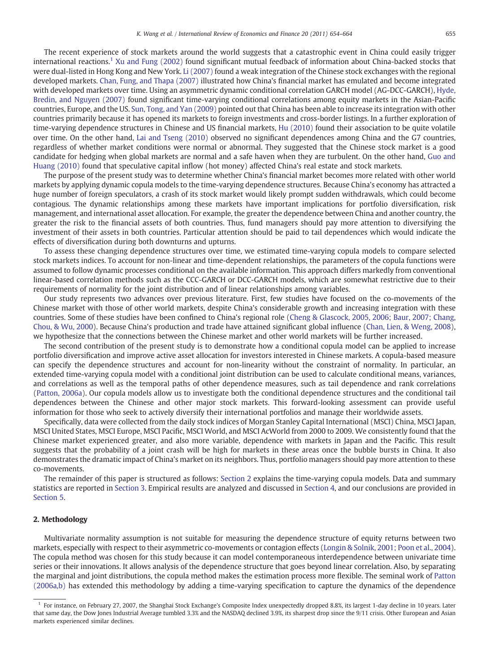The recent experience of stock markets around the world suggests that a catastrophic event in China could easily trigger international reactions.<sup>1</sup> [Xu and Fung \(2002\)](#page--1-0) found significant mutual feedback of information about China-backed stocks that were dual-listed in Hong Kong and New York. [Li \(2007\)](#page--1-0) found a weak integration of the Chinese stock exchanges with the regional developed markets. [Chan, Fung, and Thapa \(2007\)](#page--1-0) illustrated how China's financial market has emulated and become integrated with developed markets over time. Using an asymmetric dynamic conditional correlation GARCH model (AG-DCC-GARCH), [Hyde,](#page--1-0) [Bredin, and Nguyen \(2007\)](#page--1-0) found significant time-varying conditional correlations among equity markets in the Asian-Pacific countries, Europe, and the US. [Sun, Tong, and Yan \(2009\)](#page--1-0) pointed out that China has been able to increase its integration with other countries primarily because it has opened its markets to foreign investments and cross-border listings. In a further exploration of time-varying dependence structures in Chinese and US financial markets, [Hu \(2010\)](#page--1-0) found their association to be quite volatile over time. On the other hand, [Lai and Tseng \(2010\)](#page--1-0) observed no significant dependences among China and the G7 countries, regardless of whether market conditions were normal or abnormal. They suggested that the Chinese stock market is a good candidate for hedging when global markets are normal and a safe haven when they are turbulent. On the other hand, [Guo and](#page--1-0) [Huang \(2010\)](#page--1-0) found that speculative capital inflow (hot money) affected China's real estate and stock markets.

The purpose of the present study was to determine whether China's financial market becomes more related with other world markets by applying dynamic copula models to the time-varying dependence structures. Because China's economy has attracted a huge number of foreign speculators, a crash of its stock market would likely prompt sudden withdrawals, which could become contagious. The dynamic relationships among these markets have important implications for portfolio diversification, risk management, and international asset allocation. For example, the greater the dependence between China and another country, the greater the risk to the financial assets of both countries. Thus, fund managers should pay more attention to diversifying the investment of their assets in both countries. Particular attention should be paid to tail dependences which would indicate the effects of diversification during both downturns and upturns.

To assess these changing dependence structures over time, we estimated time-varying copula models to compare selected stock markets indices. To account for non-linear and time-dependent relationships, the parameters of the copula functions were assumed to follow dynamic processes conditional on the available information. This approach differs markedly from conventional linear-based correlation methods such as the CCC-GARCH or DCC-GARCH models, which are somewhat restrictive due to their requirements of normality for the joint distribution and of linear relationships among variables.

Our study represents two advances over previous literature. First, few studies have focused on the co-movements of the Chinese market with those of other world markets, despite China's considerable growth and increasing integration with these countries. Some of these studies have been confined to China's regional role [\(Cheng & Glascock, 2005, 2006; Baur, 2007; Chang,](#page--1-0) [Chou, & Wu, 2000\)](#page--1-0). Because China's production and trade have attained significant global influence ([Chan, Lien, & Weng, 2008\)](#page--1-0), we hypothesize that the connections between the Chinese market and other world markets will be further increased.

The second contribution of the present study is to demonstrate how a conditional copula model can be applied to increase portfolio diversification and improve active asset allocation for investors interested in Chinese markets. A copula-based measure can specify the dependence structures and account for non-linearity without the constraint of normality. In particular, an extended time-varying copula model with a conditional joint distribution can be used to calculate conditional means, variances, and correlations as well as the temporal paths of other dependence measures, such as tail dependence and rank correlations [\(Patton, 2006a\)](#page--1-0). Our copula models allow us to investigate both the conditional dependence structures and the conditional tail dependences between the Chinese and other major stock markets. This forward-looking assessment can provide useful information for those who seek to actively diversify their international portfolios and manage their worldwide assets.

Specifically, data were collected from the daily stock indices of Morgan Stanley Capital International (MSCI) China, MSCI Japan, MSCI United States, MSCI Europe, MSCI Pacific, MSCI World, and MSCI AcWorld from 2000 to 2009. We consistently found that the Chinese market experienced greater, and also more variable, dependence with markets in Japan and the Pacific. This result suggests that the probability of a joint crash will be high for markets in these areas once the bubble bursts in China. It also demonstrates the dramatic impact of China's market on its neighbors. Thus, portfolio managers should pay more attention to these co-movements.

The remainder of this paper is structured as follows: Section 2 explains the time-varying copula models. Data and summary statistics are reported in [Section 3.](#page--1-0) Empirical results are analyzed and discussed in [Section 4](#page--1-0), and our conclusions are provided in [Section 5](#page--1-0).

### 2. Methodology

Multivariate normality assumption is not suitable for measuring the dependence structure of equity returns between two markets, especially with respect to their asymmetric co-movements or contagion effects [\(Longin & Solnik, 2001; Poon et al., 2004\)](#page--1-0). The copula method was chosen for this study because it can model contemporaneous interdependence between univariate time series or their innovations. It allows analysis of the dependence structure that goes beyond linear correlation. Also, by separating the marginal and joint distributions, the copula method makes the estimation process more flexible. The seminal work of [Patton](#page--1-0) [\(2006a,b\)](#page--1-0) has extended this methodology by adding a time-varying specification to capture the dynamics of the dependence

 $<sup>1</sup>$  For instance, on February 27, 2007, the Shanghai Stock Exchange's Composite Index unexpectedly dropped 8.8%, its largest 1-day decline in 10 years. Later</sup> that same day, the Dow Jones Industrial Average tumbled 3.3% and the NASDAQ declined 3.9%, its sharpest drop since the 9/11 crisis. Other European and Asian markets experienced similar declines.